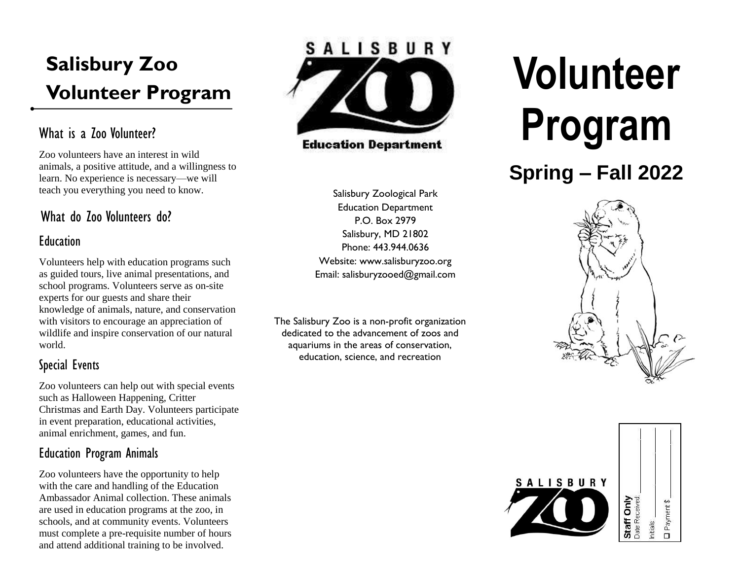## **Salisbury Zoo Volunteer Program**

## What is a 700 Volunteer?

Zoo volunteers have an interest in wild animals, a positive attitude, and a willingness to learn. No experience is necessary—we will teach you everything you need to know.

## What do Zoo Volunteers do?

#### **Education**

Volunteers help with education programs such as guided tours, live animal presentations, and school programs. Volunteers serve as on-site experts for our guests and share their knowledge of animals, nature, and conservation with visitors to encourage an appreciation of wildlife and inspire conservation of our natural world.

## Special Events

Zoo volunteers can help out with special events such as Halloween Happening, Critter Christmas and Earth Day. Volunteers participate in event preparation, educational activities, animal enrichment, games, and fun.

## Education Program Animals

Zoo volunteers have the opportunity to help with the care and handling of the Education Ambassador Animal collection. These animals are used in education programs at the zoo, in schools, and at community events. Volunteers must complete a pre-requisite number of hours and attend additional training to be involved.



**Education Department** 

Salisbury Zoological Park Education Department P.O. Box 2979 Salisbury, MD 21802 Phone: 443.944.0636 Website: www.salisburyzoo.org Email: salisburyzooed@gmail.com

The Salisbury Zoo is a non-profit organization dedicated to the advancement of zoos and aquariums in the areas of conservation, education, science, and recreation

# **Volunteer Program**

## **Spring – Fall 2022**



Payment \$